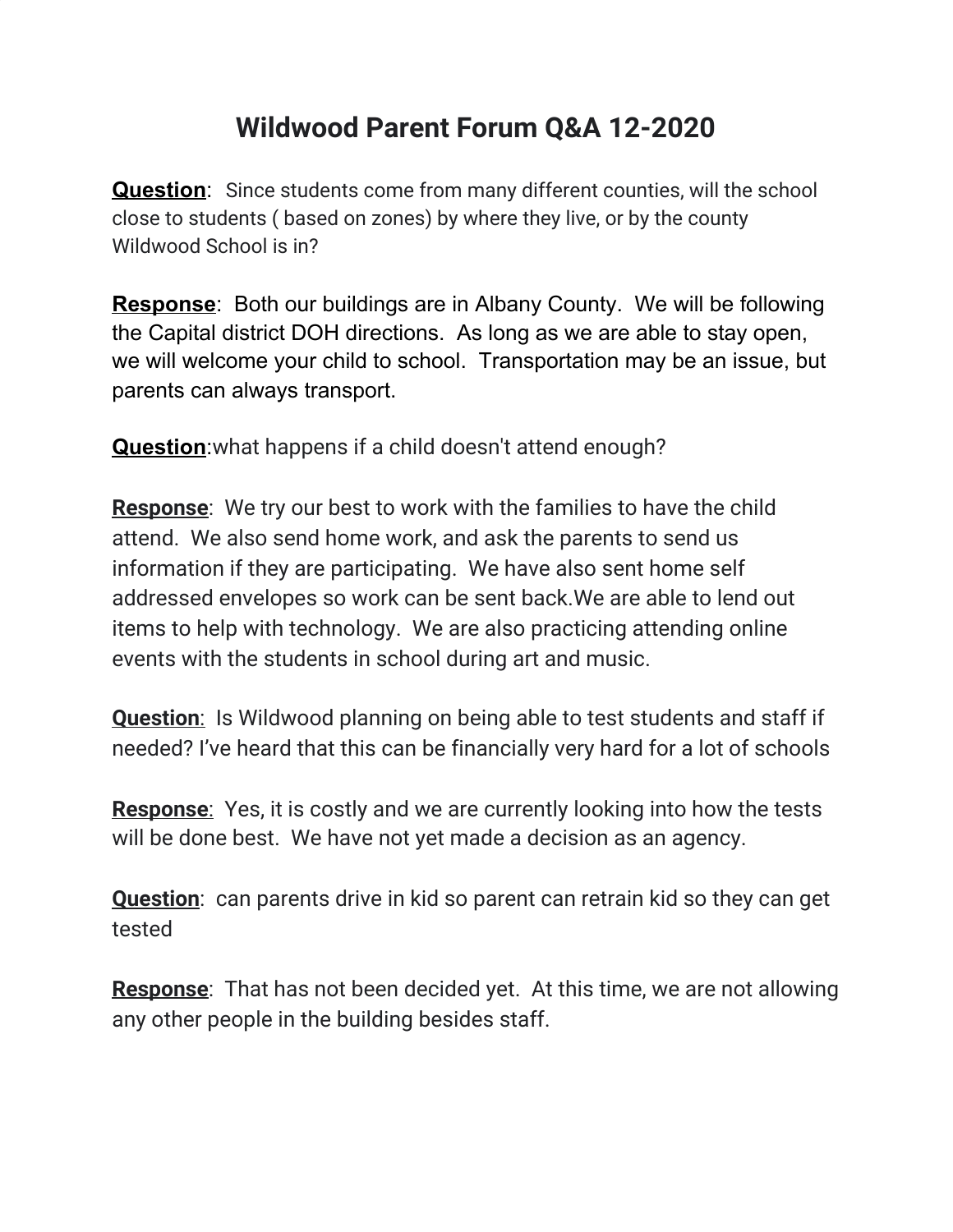## **Wildwood Parent Forum Q&A 12-2020**

**Question**: Since students come from many different counties, will the school close to students ( based on zones) by where they live, or by the county Wildwood School is in?

**Response**: Both our buildings are in Albany County. We will be following the Capital district DOH directions. As long as we are able to stay open, we will welcome your child to school. Transportation may be an issue, but parents can always transport.

**Question:** what happens if a child doesn't attend enough?

**Response**: We try our best to work with the families to have the child attend. We also send home work, and ask the parents to send us information if they are participating. We have also sent home self addressed envelopes so work can be sent back.We are able to lend out items to help with technology. We are also practicing attending online events with the students in school during art and music.

**Question**: Is Wildwood planning on being able to test students and staff if needed? I've heard that this can be financially very hard for a lot of schools

**Response**: Yes, it is costly and we are currently looking into how the tests will be done best. We have not yet made a decision as an agency.

**Question**: can parents drive in kid so parent can retrain kid so they can get tested

**Response**: That has not been decided yet. At this time, we are not allowing any other people in the building besides staff.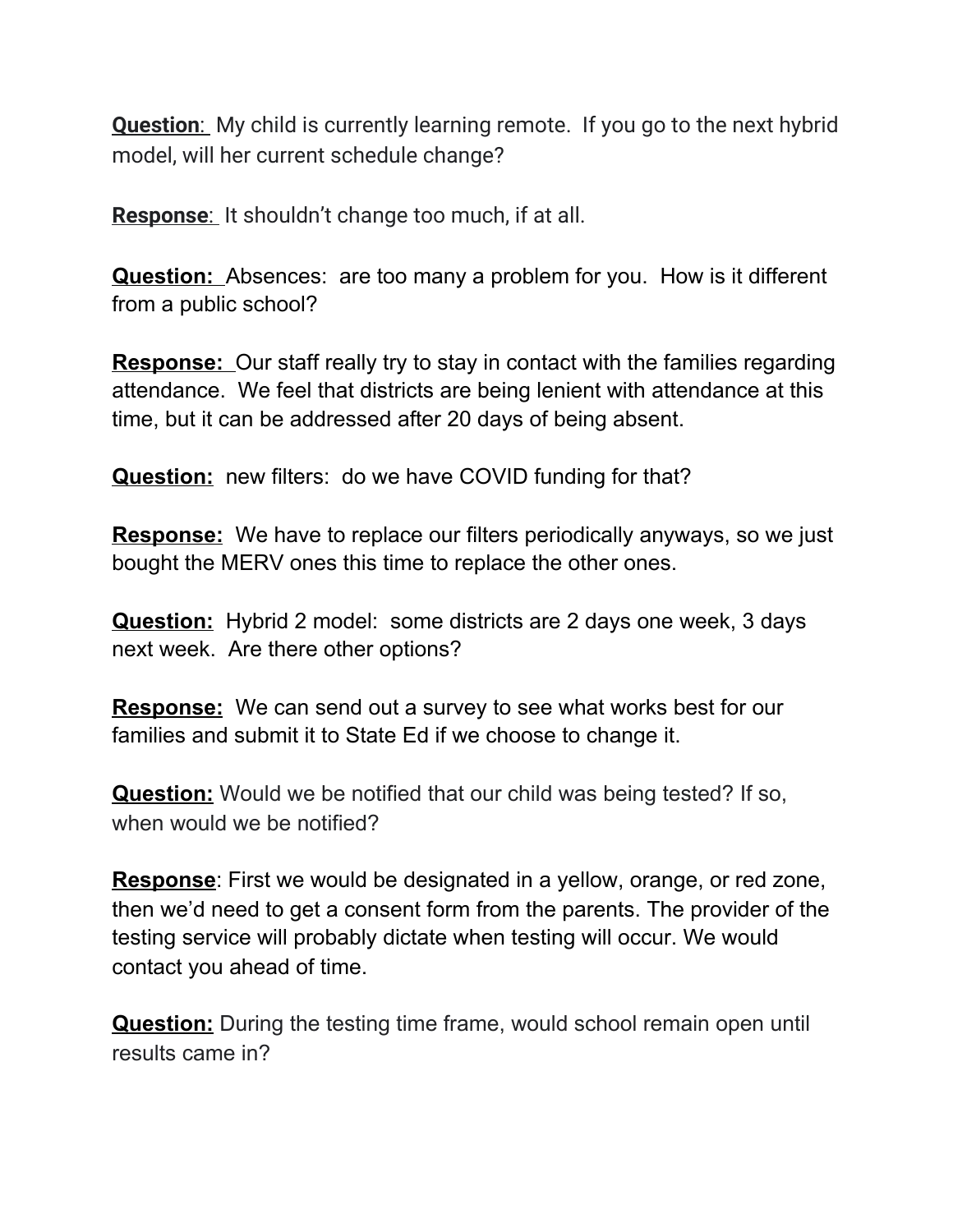**Question:** My child is currently learning remote. If you go to the next hybrid model, will her current schedule change?

**Response:** It shouldn't change too much, if at all.

**Question:** Absences: are too many a problem for you. How is it different from a public school?

**Response:** Our staff really try to stay in contact with the families regarding attendance. We feel that districts are being lenient with attendance at this time, but it can be addressed after 20 days of being absent.

**Question:** new filters: do we have COVID funding for that?

**Response:** We have to replace our filters periodically anyways, so we just bought the MERV ones this time to replace the other ones.

**Question:** Hybrid 2 model: some districts are 2 days one week, 3 days next week. Are there other options?

**Response:** We can send out a survey to see what works best for our families and submit it to State Ed if we choose to change it.

**Question:** Would we be notified that our child was being tested? If so, when would we be notified?

**Response**: First we would be designated in a yellow, orange, or red zone, then we'd need to get a consent form from the parents. The provider of the testing service will probably dictate when testing will occur. We would contact you ahead of time.

**Question:** During the testing time frame, would school remain open until results came in?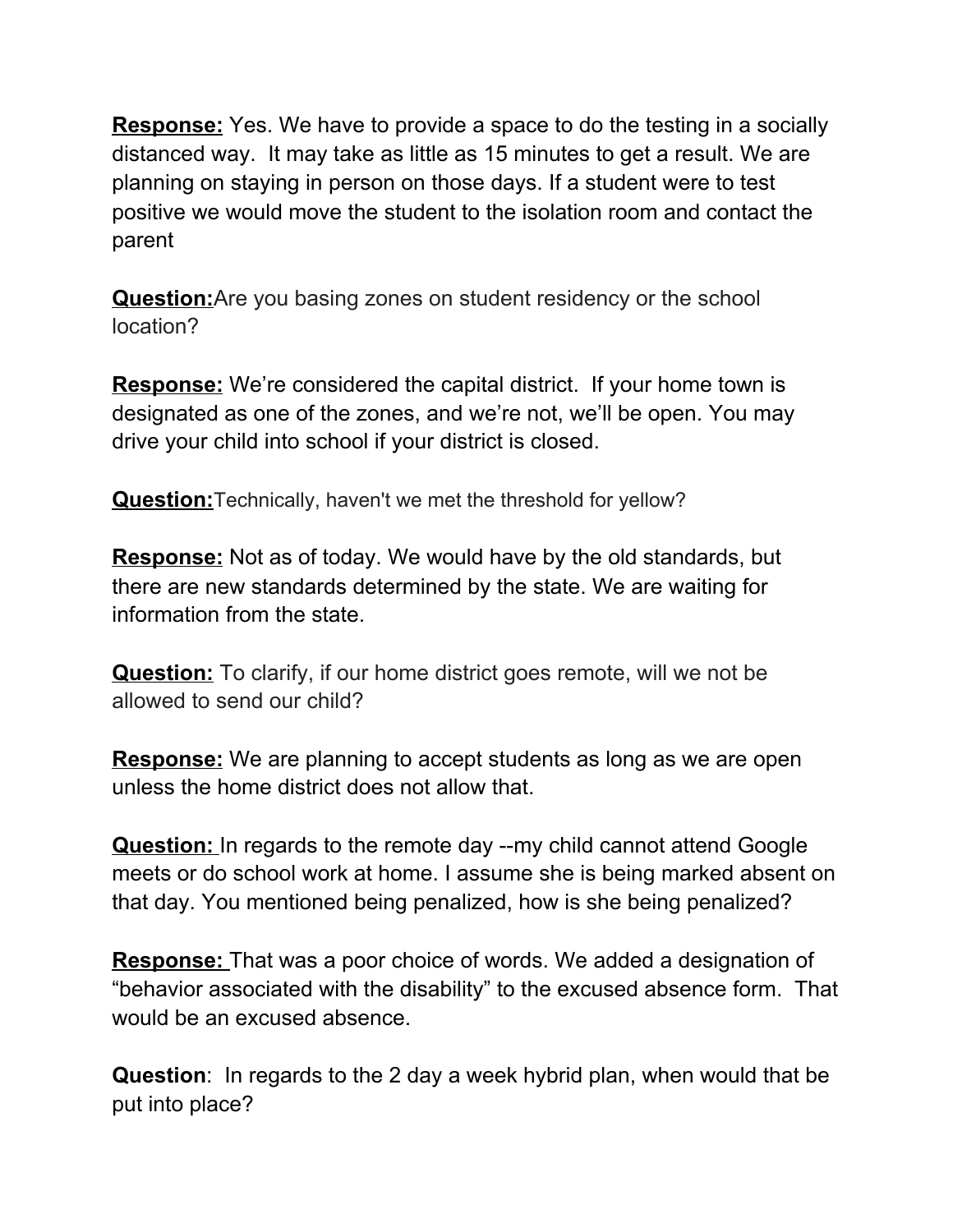**Response:** Yes. We have to provide a space to do the testing in a socially distanced way. It may take as little as 15 minutes to get a result. We are planning on staying in person on those days. If a student were to test positive we would move the student to the isolation room and contact the parent

**Question:**Are you basing zones on student residency or the school location?

**Response:** We're considered the capital district. If your home town is designated as one of the zones, and we're not, we'll be open. You may drive your child into school if your district is closed.

**Question:**Technically, haven't we met the threshold for yellow?

**Response:** Not as of today. We would have by the old standards, but there are new standards determined by the state. We are waiting for information from the state.

**Question:** To clarify, if our home district goes remote, will we not be allowed to send our child?

**Response:** We are planning to accept students as long as we are open unless the home district does not allow that.

**Question:** In regards to the remote day --my child cannot attend Google meets or do school work at home. I assume she is being marked absent on that day. You mentioned being penalized, how is she being penalized?

**Response:** That was a poor choice of words. We added a designation of "behavior associated with the disability" to the excused absence form. That would be an excused absence.

**Question**: In regards to the 2 day a week hybrid plan, when would that be put into place?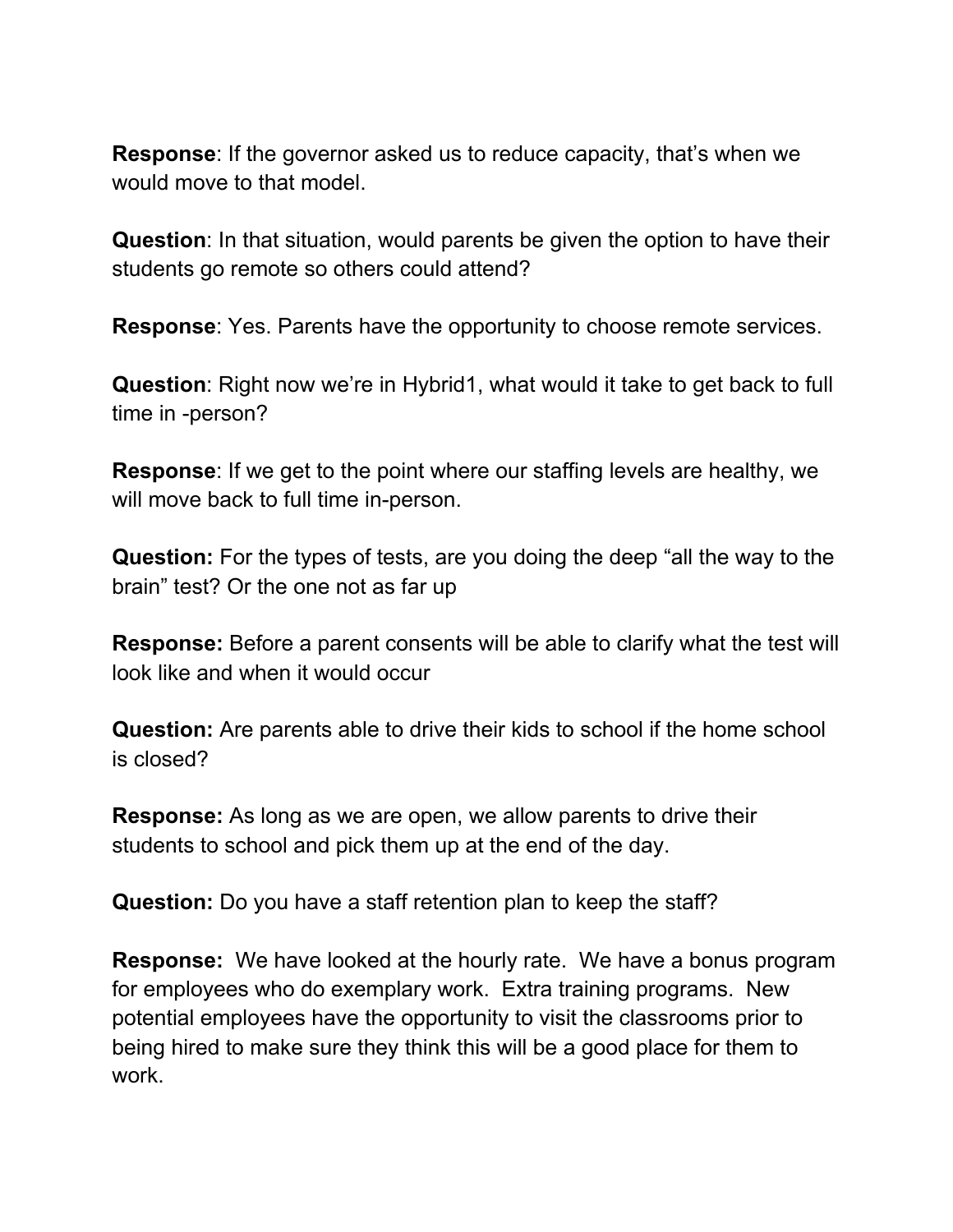**Response**: If the governor asked us to reduce capacity, that's when we would move to that model.

**Question**: In that situation, would parents be given the option to have their students go remote so others could attend?

**Response**: Yes. Parents have the opportunity to choose remote services.

**Question**: Right now we're in Hybrid1, what would it take to get back to full time in -person?

**Response**: If we get to the point where our staffing levels are healthy, we will move back to full time in-person.

**Question:** For the types of tests, are you doing the deep "all the way to the brain" test? Or the one not as far up

**Response:** Before a parent consents will be able to clarify what the test will look like and when it would occur

**Question:** Are parents able to drive their kids to school if the home school is closed?

**Response:** As long as we are open, we allow parents to drive their students to school and pick them up at the end of the day.

**Question:** Do you have a staff retention plan to keep the staff?

**Response:** We have looked at the hourly rate. We have a bonus program for employees who do exemplary work. Extra training programs. New potential employees have the opportunity to visit the classrooms prior to being hired to make sure they think this will be a good place for them to work.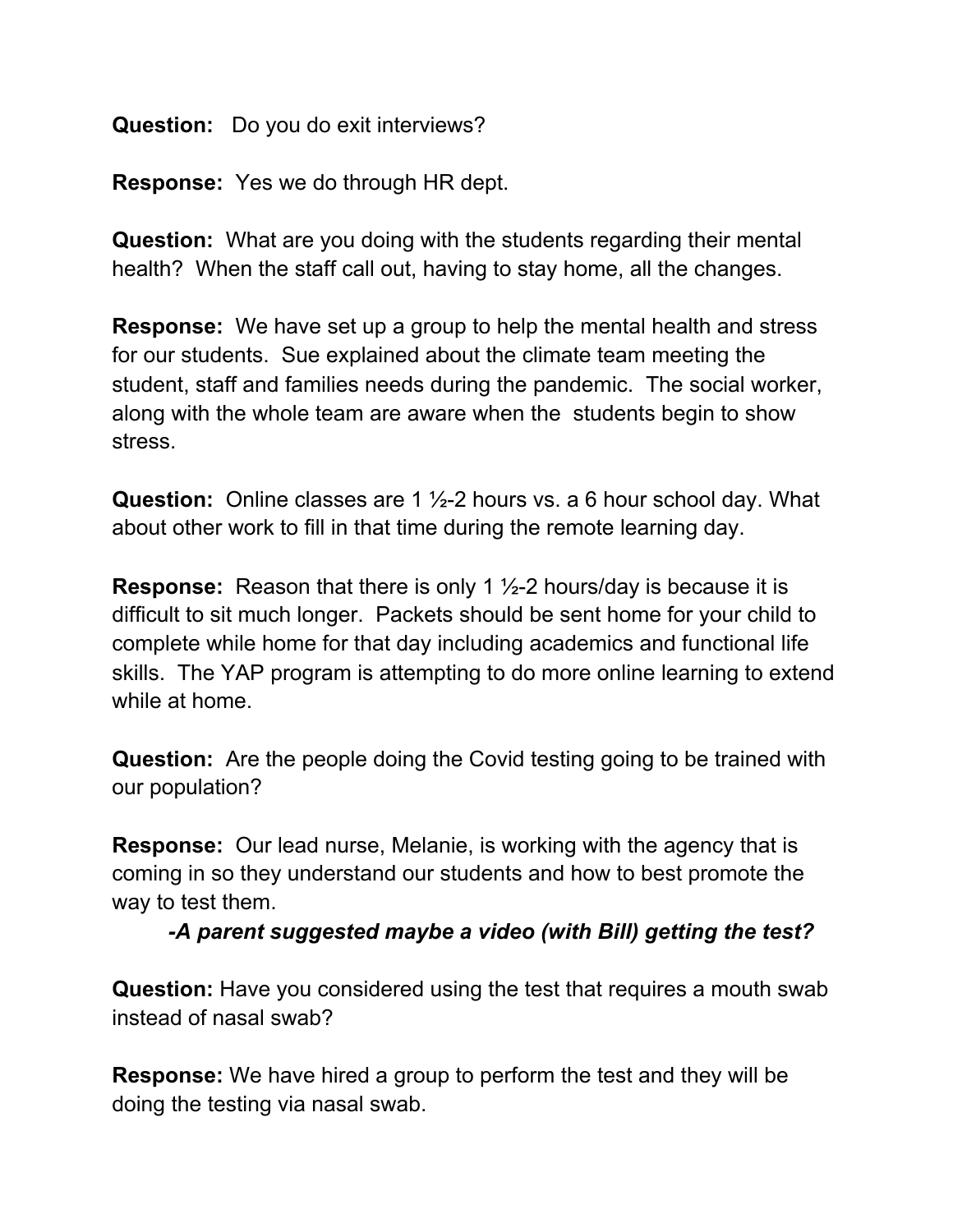**Question:** Do you do exit interviews?

**Response:** Yes we do through HR dept.

**Question:** What are you doing with the students regarding their mental health? When the staff call out, having to stay home, all the changes.

**Response:** We have set up a group to help the mental health and stress for our students. Sue explained about the climate team meeting the student, staff and families needs during the pandemic. The social worker, along with the whole team are aware when the students begin to show stress.

**Question:** Online classes are 1 ½-2 hours vs. a 6 hour school day. What about other work to fill in that time during the remote learning day.

**Response:** Reason that there is only 1 ½-2 hours/day is because it is difficult to sit much longer. Packets should be sent home for your child to complete while home for that day including academics and functional life skills. The YAP program is attempting to do more online learning to extend while at home.

**Question:** Are the people doing the Covid testing going to be trained with our population?

**Response:** Our lead nurse, Melanie, is working with the agency that is coming in so they understand our students and how to best promote the way to test them.

*-A parent suggested maybe a video (with Bill) getting the test?*

**Question:** Have you considered using the test that requires a mouth swab instead of nasal swab?

**Response:** We have hired a group to perform the test and they will be doing the testing via nasal swab.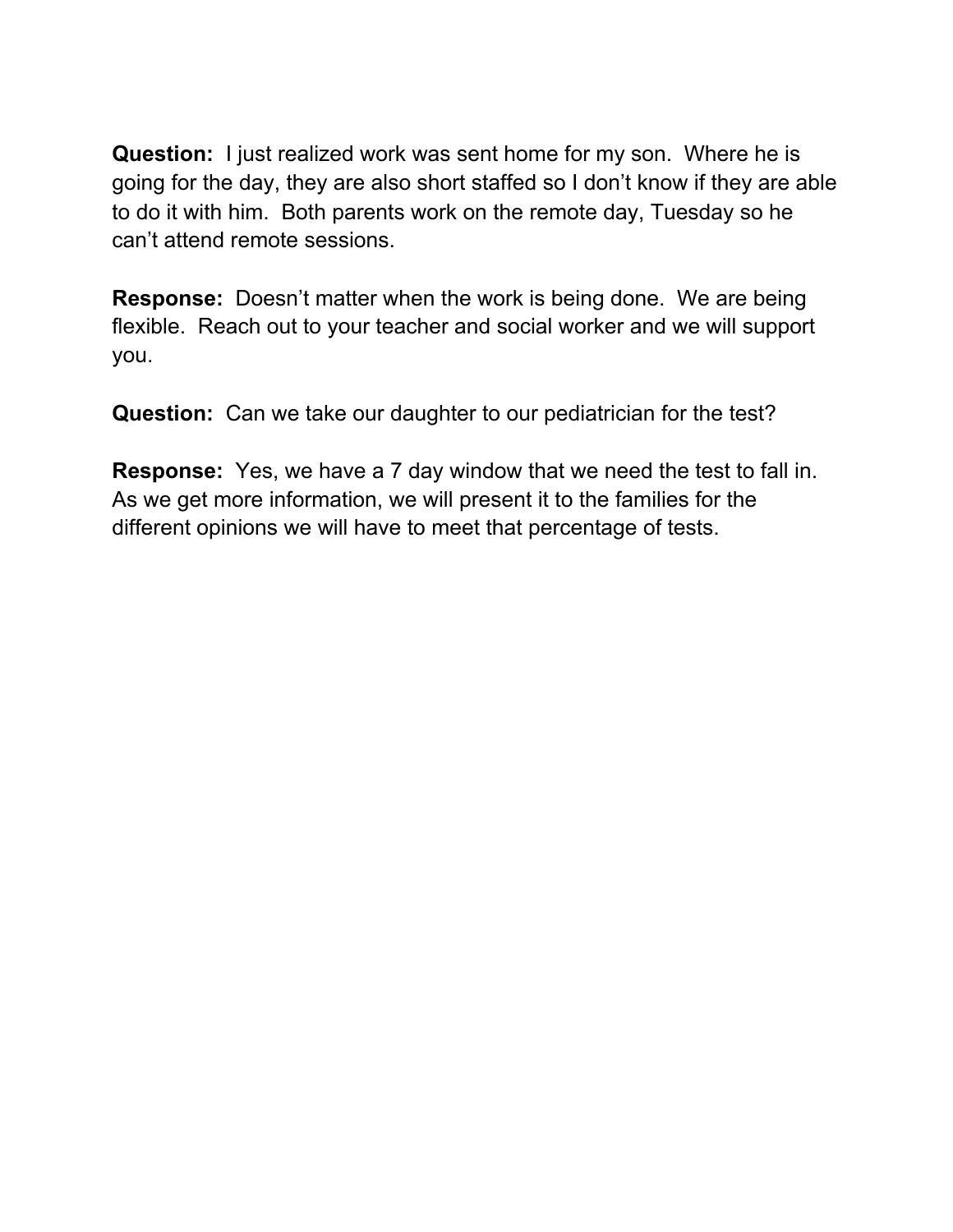**Question:** I just realized work was sent home for my son. Where he is going for the day, they are also short staffed so I don't know if they are able to do it with him. Both parents work on the remote day, Tuesday so he can't attend remote sessions.

**Response:** Doesn't matter when the work is being done. We are being flexible. Reach out to your teacher and social worker and we will support you.

**Question:** Can we take our daughter to our pediatrician for the test?

**Response:** Yes, we have a 7 day window that we need the test to fall in. As we get more information, we will present it to the families for the different opinions we will have to meet that percentage of tests.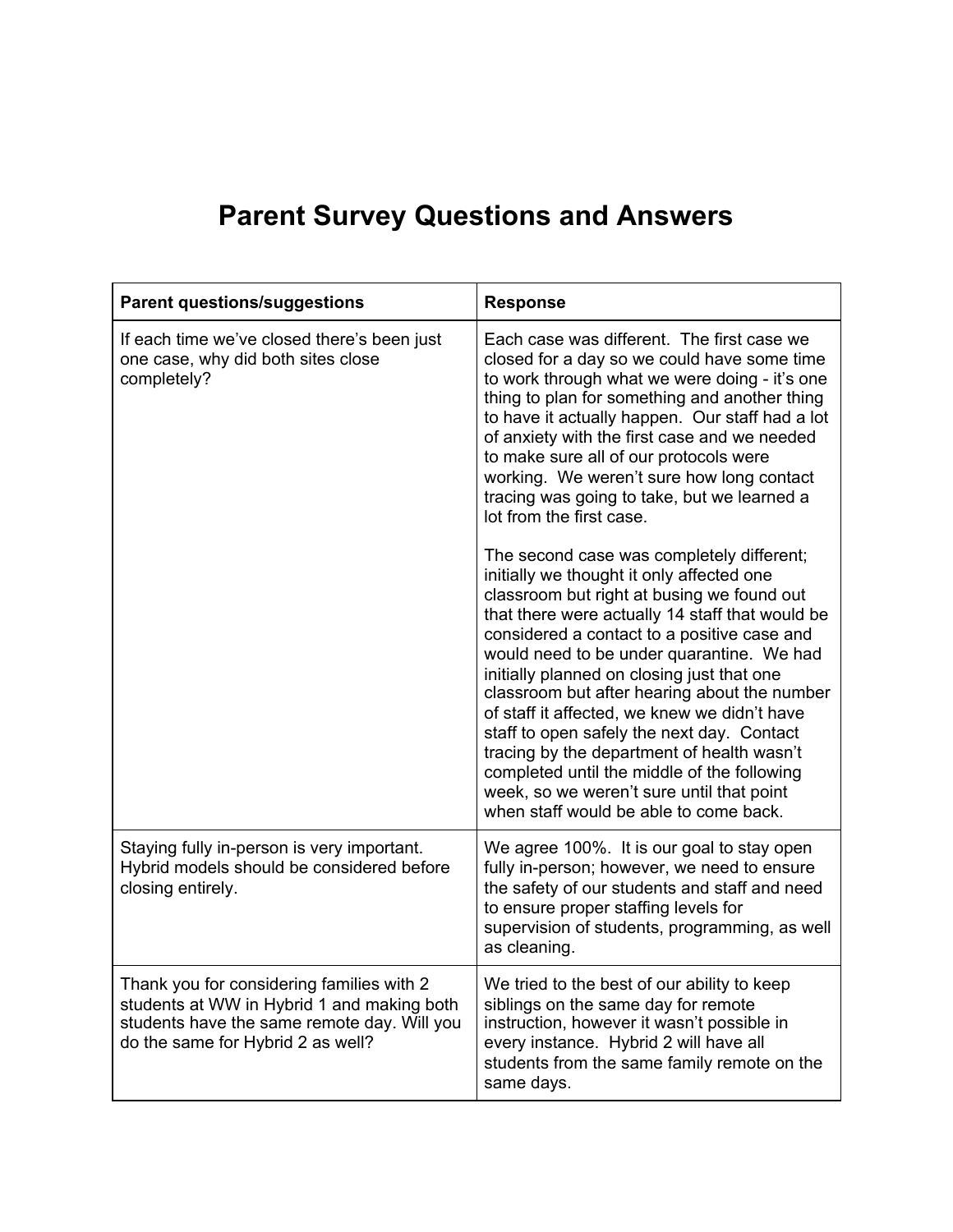| <b>Parent questions/suggestions</b>                                                                                                                                         | <b>Response</b>                                                                                                                                                                                                                                                                                                                                                                                                                                                                                                                                                                                                                                                     |
|-----------------------------------------------------------------------------------------------------------------------------------------------------------------------------|---------------------------------------------------------------------------------------------------------------------------------------------------------------------------------------------------------------------------------------------------------------------------------------------------------------------------------------------------------------------------------------------------------------------------------------------------------------------------------------------------------------------------------------------------------------------------------------------------------------------------------------------------------------------|
| If each time we've closed there's been just<br>one case, why did both sites close<br>completely?                                                                            | Each case was different. The first case we<br>closed for a day so we could have some time<br>to work through what we were doing - it's one<br>thing to plan for something and another thing<br>to have it actually happen. Our staff had a lot<br>of anxiety with the first case and we needed<br>to make sure all of our protocols were<br>working. We weren't sure how long contact<br>tracing was going to take, but we learned a<br>lot from the first case.                                                                                                                                                                                                    |
|                                                                                                                                                                             | The second case was completely different;<br>initially we thought it only affected one<br>classroom but right at busing we found out<br>that there were actually 14 staff that would be<br>considered a contact to a positive case and<br>would need to be under quarantine. We had<br>initially planned on closing just that one<br>classroom but after hearing about the number<br>of staff it affected, we knew we didn't have<br>staff to open safely the next day. Contact<br>tracing by the department of health wasn't<br>completed until the middle of the following<br>week, so we weren't sure until that point<br>when staff would be able to come back. |
| Staying fully in-person is very important.<br>Hybrid models should be considered before<br>closing entirely.                                                                | We agree 100%. It is our goal to stay open<br>fully in-person; however, we need to ensure<br>the safety of our students and staff and need<br>to ensure proper staffing levels for<br>supervision of students, programming, as well<br>as cleaning.                                                                                                                                                                                                                                                                                                                                                                                                                 |
| Thank you for considering families with 2<br>students at WW in Hybrid 1 and making both<br>students have the same remote day. Will you<br>do the same for Hybrid 2 as well? | We tried to the best of our ability to keep<br>siblings on the same day for remote<br>instruction, however it wasn't possible in<br>every instance. Hybrid 2 will have all<br>students from the same family remote on the<br>same days.                                                                                                                                                                                                                                                                                                                                                                                                                             |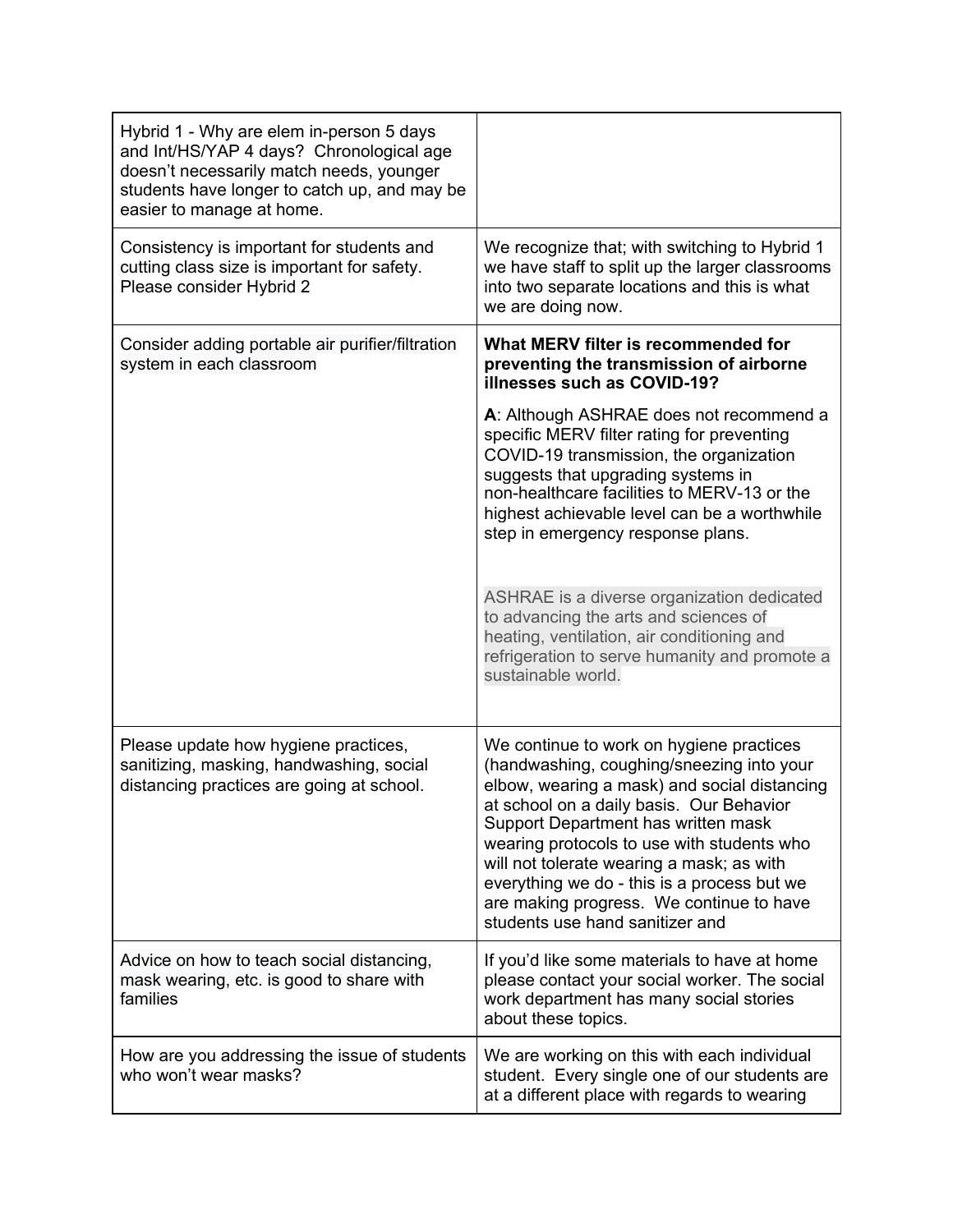| Hybrid 1 - Why are elem in-person 5 days<br>and Int/HS/YAP 4 days? Chronological age<br>doesn't necessarily match needs, younger<br>students have longer to catch up, and may be<br>easier to manage at home. |                                                                                                                                                                                                                                                                                                                                                                                                                                                   |
|---------------------------------------------------------------------------------------------------------------------------------------------------------------------------------------------------------------|---------------------------------------------------------------------------------------------------------------------------------------------------------------------------------------------------------------------------------------------------------------------------------------------------------------------------------------------------------------------------------------------------------------------------------------------------|
| Consistency is important for students and<br>cutting class size is important for safety.<br>Please consider Hybrid 2                                                                                          | We recognize that; with switching to Hybrid 1<br>we have staff to split up the larger classrooms<br>into two separate locations and this is what<br>we are doing now.                                                                                                                                                                                                                                                                             |
| Consider adding portable air purifier/filtration<br>system in each classroom                                                                                                                                  | What MERV filter is recommended for<br>preventing the transmission of airborne<br>illnesses such as COVID-19?                                                                                                                                                                                                                                                                                                                                     |
|                                                                                                                                                                                                               | A: Although ASHRAE does not recommend a<br>specific MERV filter rating for preventing<br>COVID-19 transmission, the organization<br>suggests that upgrading systems in<br>non-healthcare facilities to MERV-13 or the<br>highest achievable level can be a worthwhile<br>step in emergency response plans.                                                                                                                                        |
|                                                                                                                                                                                                               | ASHRAE is a diverse organization dedicated<br>to advancing the arts and sciences of<br>heating, ventilation, air conditioning and<br>refrigeration to serve humanity and promote a<br>sustainable world.                                                                                                                                                                                                                                          |
| Please update how hygiene practices,<br>sanitizing, masking, handwashing, social<br>distancing practices are going at school.                                                                                 | We continue to work on hygiene practices<br>(handwashing, coughing/sneezing into your<br>elbow, wearing a mask) and social distancing<br>at school on a daily basis. Our Behavior<br>Support Department has written mask<br>wearing protocols to use with students who<br>will not tolerate wearing a mask; as with<br>everything we do - this is a process but we<br>are making progress. We continue to have<br>students use hand sanitizer and |
| Advice on how to teach social distancing,<br>mask wearing, etc. is good to share with<br>families                                                                                                             | If you'd like some materials to have at home<br>please contact your social worker. The social<br>work department has many social stories<br>about these topics.                                                                                                                                                                                                                                                                                   |
| How are you addressing the issue of students<br>who won't wear masks?                                                                                                                                         | We are working on this with each individual<br>student. Every single one of our students are<br>at a different place with regards to wearing                                                                                                                                                                                                                                                                                                      |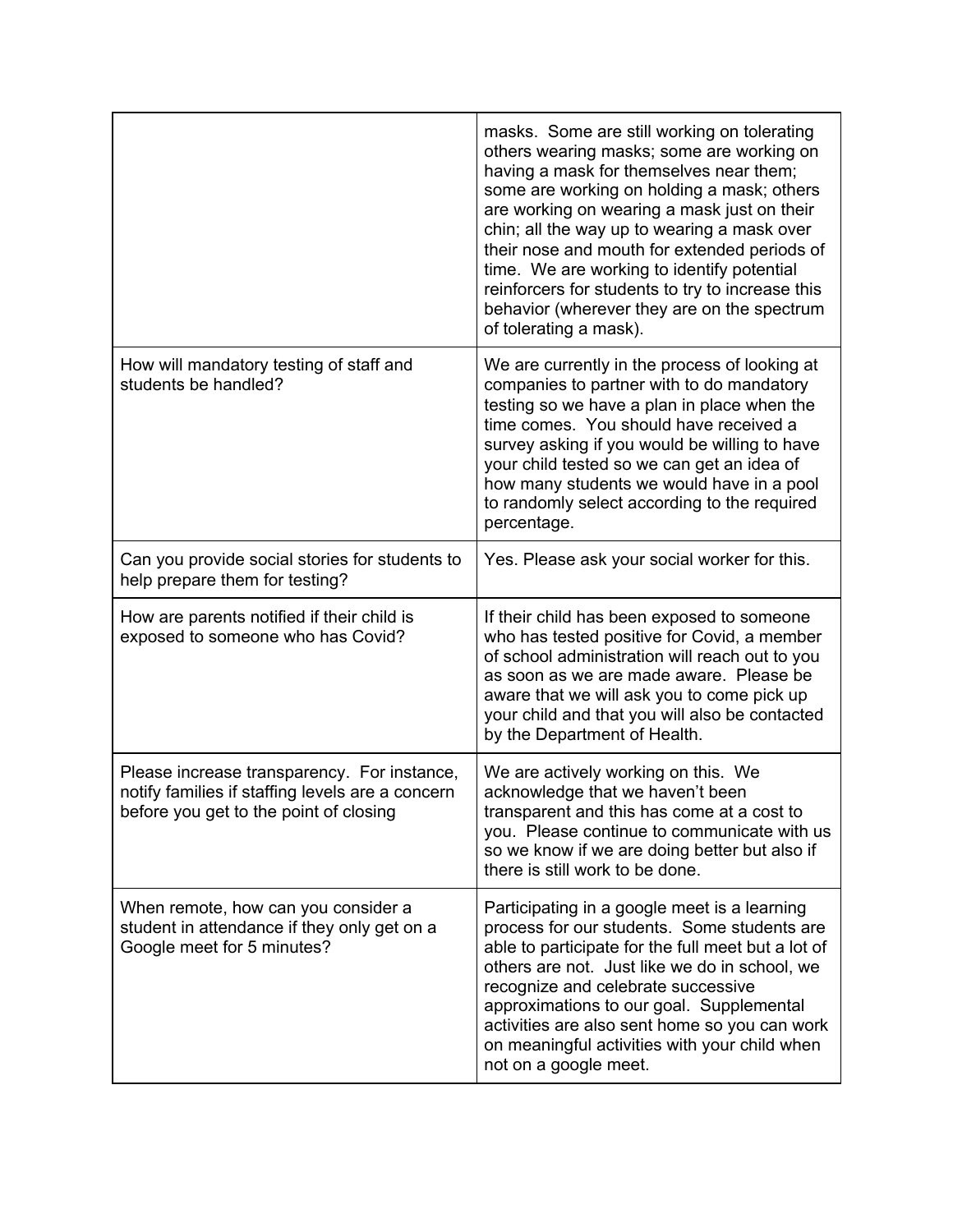|                                                                                                                                           | masks. Some are still working on tolerating<br>others wearing masks; some are working on<br>having a mask for themselves near them;<br>some are working on holding a mask; others<br>are working on wearing a mask just on their<br>chin; all the way up to wearing a mask over<br>their nose and mouth for extended periods of<br>time. We are working to identify potential<br>reinforcers for students to try to increase this<br>behavior (wherever they are on the spectrum<br>of tolerating a mask). |
|-------------------------------------------------------------------------------------------------------------------------------------------|------------------------------------------------------------------------------------------------------------------------------------------------------------------------------------------------------------------------------------------------------------------------------------------------------------------------------------------------------------------------------------------------------------------------------------------------------------------------------------------------------------|
| How will mandatory testing of staff and<br>students be handled?                                                                           | We are currently in the process of looking at<br>companies to partner with to do mandatory<br>testing so we have a plan in place when the<br>time comes. You should have received a<br>survey asking if you would be willing to have<br>your child tested so we can get an idea of<br>how many students we would have in a pool<br>to randomly select according to the required<br>percentage.                                                                                                             |
| Can you provide social stories for students to<br>help prepare them for testing?                                                          | Yes. Please ask your social worker for this.                                                                                                                                                                                                                                                                                                                                                                                                                                                               |
| How are parents notified if their child is<br>exposed to someone who has Covid?                                                           | If their child has been exposed to someone<br>who has tested positive for Covid, a member<br>of school administration will reach out to you<br>as soon as we are made aware. Please be<br>aware that we will ask you to come pick up<br>your child and that you will also be contacted<br>by the Department of Health.                                                                                                                                                                                     |
| Please increase transparency. For instance,<br>notify families if staffing levels are a concern<br>before you get to the point of closing | We are actively working on this. We<br>acknowledge that we haven't been<br>transparent and this has come at a cost to<br>you. Please continue to communicate with us<br>so we know if we are doing better but also if<br>there is still work to be done.                                                                                                                                                                                                                                                   |
| When remote, how can you consider a<br>student in attendance if they only get on a<br>Google meet for 5 minutes?                          | Participating in a google meet is a learning<br>process for our students. Some students are<br>able to participate for the full meet but a lot of<br>others are not. Just like we do in school, we<br>recognize and celebrate successive<br>approximations to our goal. Supplemental<br>activities are also sent home so you can work<br>on meaningful activities with your child when<br>not on a google meet.                                                                                            |